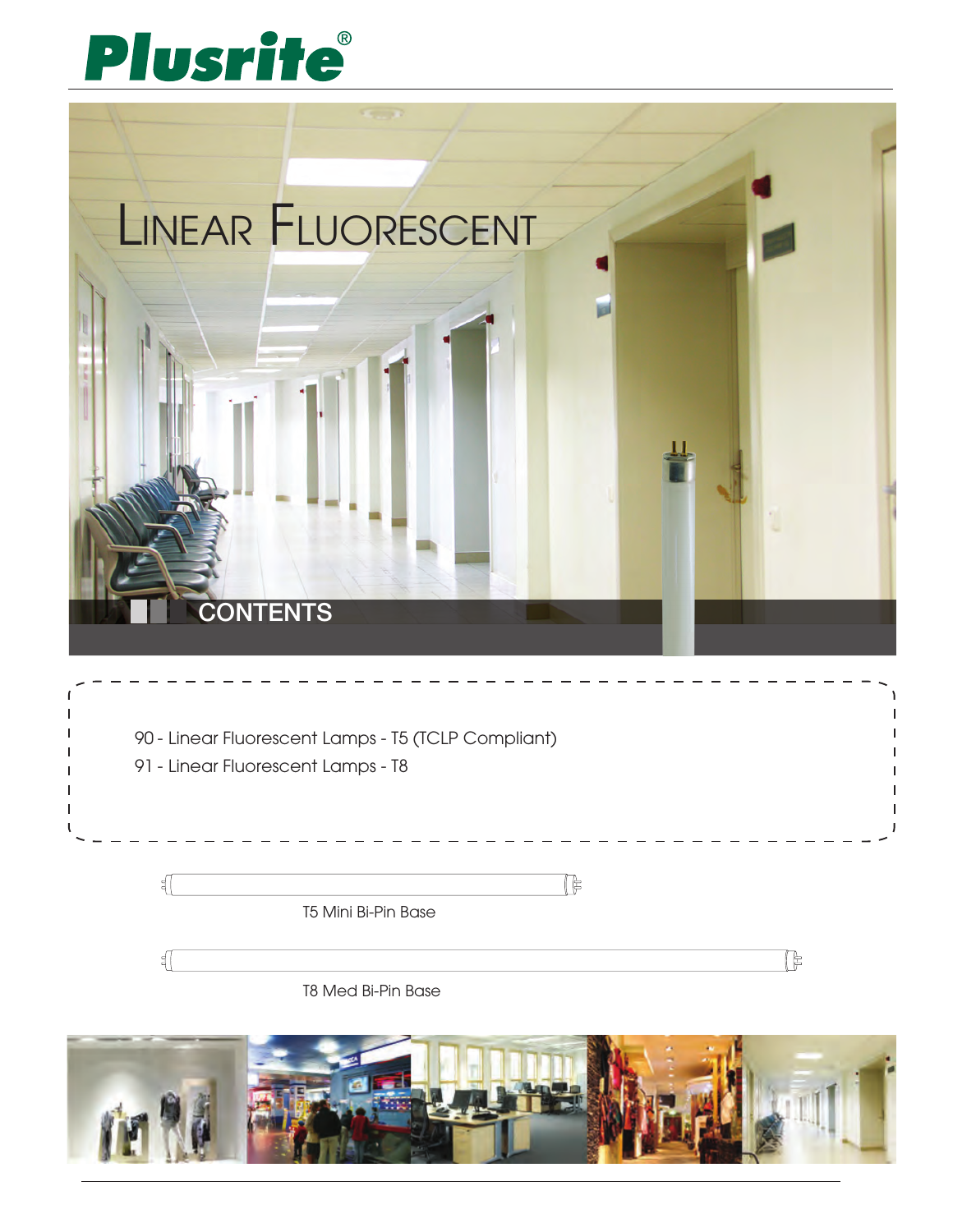